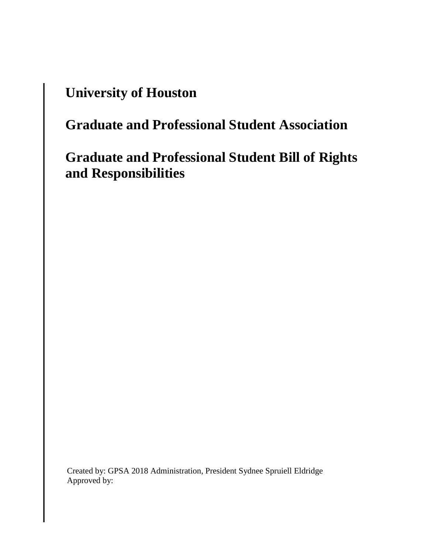## **University of Houston**

# **Graduate and Professional Student Association**

## **Graduate and Professional Student Bill of Rights and Responsibilities**

Created by: GPSA 2018 Administration, President Sydnee Spruiell Eldridge Approved by: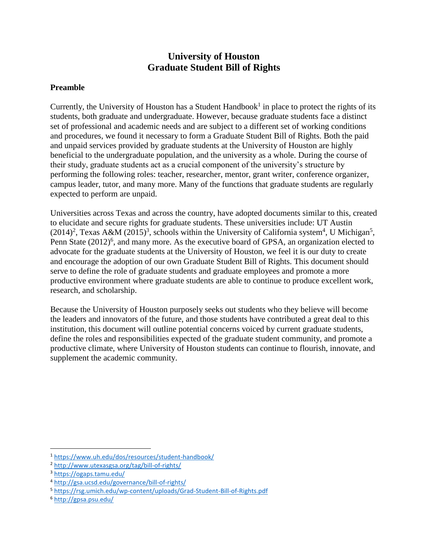## **University of Houston Graduate Student Bill of Rights**

### **Preamble**

Currently, the University of Houston has a Student Handbook<sup>1</sup> in place to protect the rights of its students, both graduate and undergraduate. However, because graduate students face a distinct set of professional and academic needs and are subject to a different set of working conditions and procedures, we found it necessary to form a Graduate Student Bill of Rights. Both the paid and unpaid services provided by graduate students at the University of Houston are highly beneficial to the undergraduate population, and the university as a whole. During the course of their study, graduate students act as a crucial component of the university's structure by performing the following roles: teacher, researcher, mentor, grant writer, conference organizer, campus leader, tutor, and many more. Many of the functions that graduate students are regularly expected to perform are unpaid.

Universities across Texas and across the country, have adopted documents similar to this, created to elucidate and secure rights for graduate students. These universities include: UT Austin  $(2014)^2$ , Texas A&M  $(2015)^3$ , schools within the University of California system<sup>4</sup>, U Michigan<sup>5</sup>, Penn State (2012)<sup>6</sup>, and many more. As the executive board of GPSA, an organization elected to advocate for the graduate students at the University of Houston, we feel it is our duty to create and encourage the adoption of our own Graduate Student Bill of Rights. This document should serve to define the role of graduate students and graduate employees and promote a more productive environment where graduate students are able to continue to produce excellent work, research, and scholarship.

Because the University of Houston purposely seeks out students who they believe will become the leaders and innovators of the future, and those students have contributed a great deal to this institution, this document will outline potential concerns voiced by current graduate students, define the roles and responsibilities expected of the graduate student community, and promote a productive climate, where University of Houston students can continue to flourish, innovate, and supplement the academic community.

 $\overline{a}$ 

<sup>1</sup> <https://www.uh.edu/dos/resources/student-handbook/>

<sup>2</sup> <http://www.utexasgsa.org/tag/bill-of-rights/>

<sup>3</sup> <https://ogaps.tamu.edu/>

<sup>4</sup> <http://gsa.ucsd.edu/governance/bill-of-rights/>

<sup>5</sup> <https://rsg.umich.edu/wp-content/uploads/Grad-Student-Bill-of-Rights.pdf>

<sup>6</sup> <http://gpsa.psu.edu/>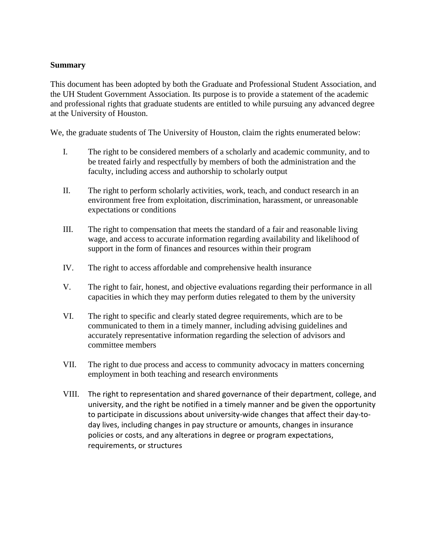#### **Summary**

This document has been adopted by both the Graduate and Professional Student Association, and the UH Student Government Association. Its purpose is to provide a statement of the academic and professional rights that graduate students are entitled to while pursuing any advanced degree at the University of Houston.

We, the graduate students of The University of Houston, claim the rights enumerated below:

- I. The right to be considered members of a scholarly and academic community, and to be treated fairly and respectfully by members of both the administration and the faculty, including access and authorship to scholarly output
- II. The right to perform scholarly activities, work, teach, and conduct research in an environment free from exploitation, discrimination, harassment, or unreasonable expectations or conditions
- III. The right to compensation that meets the standard of a fair and reasonable living wage, and access to accurate information regarding availability and likelihood of support in the form of finances and resources within their program
- IV. The right to access affordable and comprehensive health insurance
- V. The right to fair, honest, and objective evaluations regarding their performance in all capacities in which they may perform duties relegated to them by the university
- VI. The right to specific and clearly stated degree requirements, which are to be communicated to them in a timely manner, including advising guidelines and accurately representative information regarding the selection of advisors and committee members
- VII. The right to due process and access to community advocacy in matters concerning employment in both teaching and research environments
- VIII. The right to representation and shared governance of their department, college, and university, and the right be notified in a timely manner and be given the opportunity to participate in discussions about university-wide changes that affect their day-today lives, including changes in pay structure or amounts, changes in insurance policies or costs, and any alterations in degree or program expectations, requirements, or structures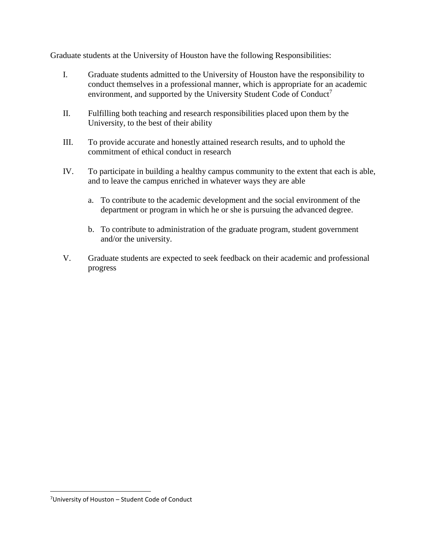Graduate students at the University of Houston have the following Responsibilities:

- I. Graduate students admitted to the University of Houston have the responsibility to conduct themselves in a professional manner, which is appropriate for an academic environment, and supported by the University Student Code of Conduct<sup>7</sup>
- II. Fulfilling both teaching and research responsibilities placed upon them by the University, to the best of their ability
- III. To provide accurate and honestly attained research results, and to uphold the commitment of ethical conduct in research
- IV. To participate in building a healthy campus community to the extent that each is able, and to leave the campus enriched in whatever ways they are able
	- a. To contribute to the academic development and the social environment of the department or program in which he or she is pursuing the advanced degree.
	- b. To contribute to administration of the graduate program, student government and/or the university.
- V. Graduate students are expected to seek feedback on their academic and professional progress

 $\overline{a}$ 

<sup>7</sup>University of Houston – Student Code of Conduct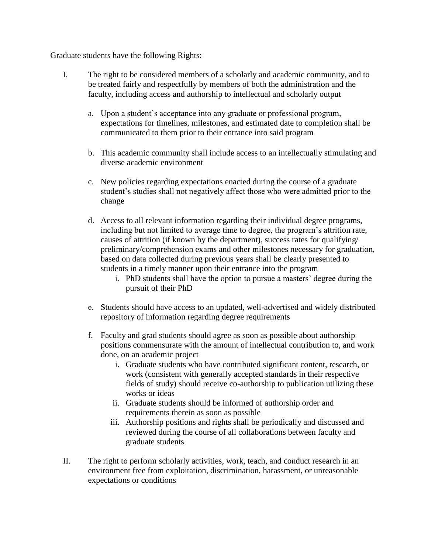Graduate students have the following Rights:

- I. The right to be considered members of a scholarly and academic community, and to be treated fairly and respectfully by members of both the administration and the faculty, including access and authorship to intellectual and scholarly output
	- a. Upon a student's acceptance into any graduate or professional program, expectations for timelines, milestones, and estimated date to completion shall be communicated to them prior to their entrance into said program
	- b. This academic community shall include access to an intellectually stimulating and diverse academic environment
	- c. New policies regarding expectations enacted during the course of a graduate student's studies shall not negatively affect those who were admitted prior to the change
	- d. Access to all relevant information regarding their individual degree programs, including but not limited to average time to degree, the program's attrition rate, causes of attrition (if known by the department), success rates for qualifying/ preliminary/comprehension exams and other milestones necessary for graduation, based on data collected during previous years shall be clearly presented to students in a timely manner upon their entrance into the program
		- i. PhD students shall have the option to pursue a masters' degree during the pursuit of their PhD
	- e. Students should have access to an updated, well-advertised and widely distributed repository of information regarding degree requirements
	- f. Faculty and grad students should agree as soon as possible about authorship positions commensurate with the amount of intellectual contribution to, and work done, on an academic project
		- i. Graduate students who have contributed significant content, research, or work (consistent with generally accepted standards in their respective fields of study) should receive co-authorship to publication utilizing these works or ideas
		- ii. Graduate students should be informed of authorship order and requirements therein as soon as possible
		- iii. Authorship positions and rights shall be periodically and discussed and reviewed during the course of all collaborations between faculty and graduate students
- II. The right to perform scholarly activities, work, teach, and conduct research in an environment free from exploitation, discrimination, harassment, or unreasonable expectations or conditions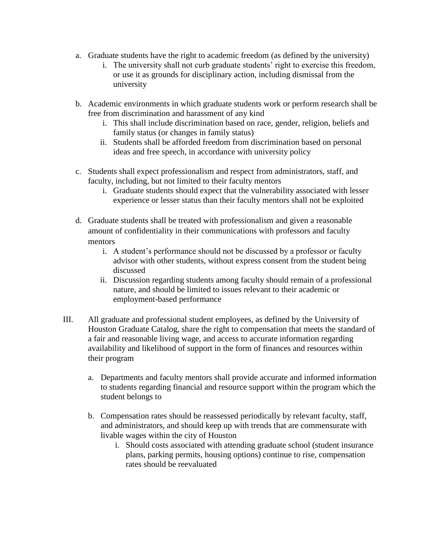- a. Graduate students have the right to academic freedom (as defined by the university)
	- i. The university shall not curb graduate students' right to exercise this freedom, or use it as grounds for disciplinary action, including dismissal from the university
- b. Academic environments in which graduate students work or perform research shall be free from discrimination and harassment of any kind
	- i. This shall include discrimination based on race, gender, religion, beliefs and family status (or changes in family status)
	- ii. Students shall be afforded freedom from discrimination based on personal ideas and free speech, in accordance with university policy
- c. Students shall expect professionalism and respect from administrators, staff, and faculty, including, but not limited to their faculty mentors
	- i. Graduate students should expect that the vulnerability associated with lesser experience or lesser status than their faculty mentors shall not be exploited
- d. Graduate students shall be treated with professionalism and given a reasonable amount of confidentiality in their communications with professors and faculty mentors
	- i. A student's performance should not be discussed by a professor or faculty advisor with other students, without express consent from the student being discussed
	- ii. Discussion regarding students among faculty should remain of a professional nature, and should be limited to issues relevant to their academic or employment-based performance
- III. All graduate and professional student employees, as defined by the University of Houston Graduate Catalog, share the right to compensation that meets the standard of a fair and reasonable living wage, and access to accurate information regarding availability and likelihood of support in the form of finances and resources within their program
	- a. Departments and faculty mentors shall provide accurate and informed information to students regarding financial and resource support within the program which the student belongs to
	- b. Compensation rates should be reassessed periodically by relevant faculty, staff, and administrators, and should keep up with trends that are commensurate with livable wages within the city of Houston
		- i. Should costs associated with attending graduate school (student insurance plans, parking permits, housing options) continue to rise, compensation rates should be reevaluated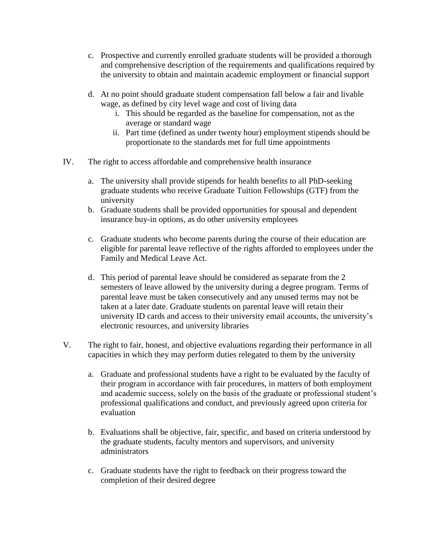- c. Prospective and currently enrolled graduate students will be provided a thorough and comprehensive description of the requirements and qualifications required by the university to obtain and maintain academic employment or financial support
- d. At no point should graduate student compensation fall below a fair and livable wage, as defined by city level wage and cost of living data
	- i. This should be regarded as the baseline for compensation, not as the average or standard wage
	- ii. Part time (defined as under twenty hour) employment stipends should be proportionate to the standards met for full time appointments
- IV. The right to access affordable and comprehensive health insurance
	- a. The university shall provide stipends for health benefits to all PhD-seeking graduate students who receive Graduate Tuition Fellowships (GTF) from the university
	- b. Graduate students shall be provided opportunities for spousal and dependent insurance buy-in options, as do other university employees
	- c. Graduate students who become parents during the course of their education are eligible for parental leave reflective of the rights afforded to employees under the Family and Medical Leave Act.
	- d. This period of parental leave should be considered as separate from the 2 semesters of leave allowed by the university during a degree program. Terms of parental leave must be taken consecutively and any unused terms may not be taken at a later date. Graduate students on parental leave will retain their university ID cards and access to their university email accounts, the university's electronic resources, and university libraries
- V. The right to fair, honest, and objective evaluations regarding their performance in all capacities in which they may perform duties relegated to them by the university
	- a. Graduate and professional students have a right to be evaluated by the faculty of their program in accordance with fair procedures, in matters of both employment and academic success, solely on the basis of the graduate or professional student's professional qualifications and conduct, and previously agreed upon criteria for evaluation
	- b. Evaluations shall be objective, fair, specific, and based on criteria understood by the graduate students, faculty mentors and supervisors, and university administrators
	- c. Graduate students have the right to feedback on their progress toward the completion of their desired degree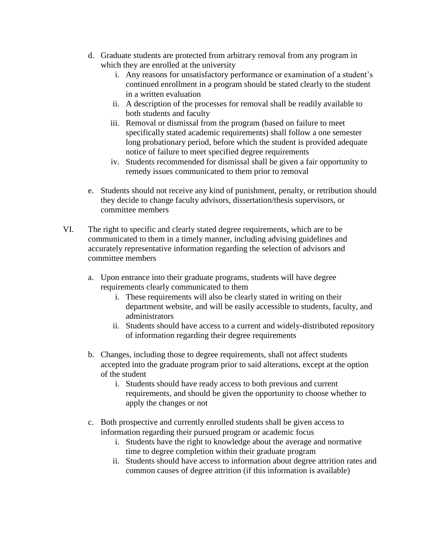- d. Graduate students are protected from arbitrary removal from any program in which they are enrolled at the university
	- i. Any reasons for unsatisfactory performance or examination of a student's continued enrollment in a program should be stated clearly to the student in a written evaluation
	- ii. A description of the processes for removal shall be readily available to both students and faculty
	- iii. Removal or dismissal from the program (based on failure to meet specifically stated academic requirements) shall follow a one semester long probationary period, before which the student is provided adequate notice of failure to meet specified degree requirements
	- iv. Students recommended for dismissal shall be given a fair opportunity to remedy issues communicated to them prior to removal
- e. Students should not receive any kind of punishment, penalty, or retribution should they decide to change faculty advisors, dissertation/thesis supervisors, or committee members
- VI. The right to specific and clearly stated degree requirements, which are to be communicated to them in a timely manner, including advising guidelines and accurately representative information regarding the selection of advisors and committee members
	- a. Upon entrance into their graduate programs, students will have degree requirements clearly communicated to them
		- i. These requirements will also be clearly stated in writing on their department website, and will be easily accessible to students, faculty, and administrators
		- ii. Students should have access to a current and widely-distributed repository of information regarding their degree requirements
	- b. Changes, including those to degree requirements, shall not affect students accepted into the graduate program prior to said alterations, except at the option of the student
		- i. Students should have ready access to both previous and current requirements, and should be given the opportunity to choose whether to apply the changes or not
	- c. Both prospective and currently enrolled students shall be given access to information regarding their pursued program or academic focus
		- i. Students have the right to knowledge about the average and normative time to degree completion within their graduate program
		- ii. Students should have access to information about degree attrition rates and common causes of degree attrition (if this information is available)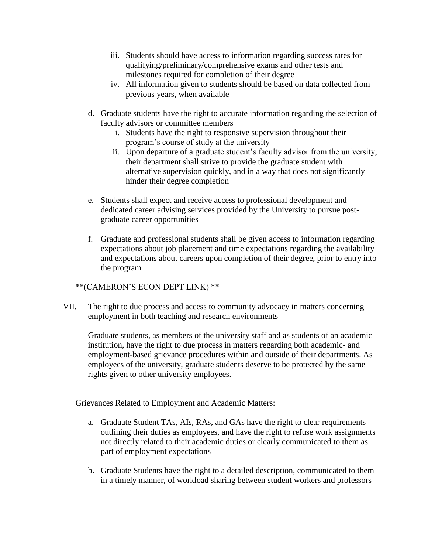- iii. Students should have access to information regarding success rates for qualifying/preliminary/comprehensive exams and other tests and milestones required for completion of their degree
- iv. All information given to students should be based on data collected from previous years, when available
- d. Graduate students have the right to accurate information regarding the selection of faculty advisors or committee members
	- i. Students have the right to responsive supervision throughout their program's course of study at the university
	- ii. Upon departure of a graduate student's faculty advisor from the university, their department shall strive to provide the graduate student with alternative supervision quickly, and in a way that does not significantly hinder their degree completion
- e. Students shall expect and receive access to professional development and dedicated career advising services provided by the University to pursue postgraduate career opportunities
- f. Graduate and professional students shall be given access to information regarding expectations about job placement and time expectations regarding the availability and expectations about careers upon completion of their degree, prior to entry into the program

### \*\*(CAMERON'S ECON DEPT LINK) \*\*

VII. The right to due process and access to community advocacy in matters concerning employment in both teaching and research environments

Graduate students, as members of the university staff and as students of an academic institution, have the right to due process in matters regarding both academic- and employment-based grievance procedures within and outside of their departments. As employees of the university, graduate students deserve to be protected by the same rights given to other university employees.

Grievances Related to Employment and Academic Matters:

- a. Graduate Student TAs, AIs, RAs, and GAs have the right to clear requirements outlining their duties as employees, and have the right to refuse work assignments not directly related to their academic duties or clearly communicated to them as part of employment expectations
- b. Graduate Students have the right to a detailed description, communicated to them in a timely manner, of workload sharing between student workers and professors